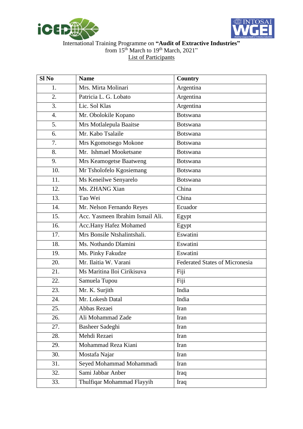



## International Training Programme on **"Audit of Extractive Industries"** from 15<sup>th</sup> March to 19<sup>th</sup> March, 2021" List of Participants

| Sl <sub>No</sub> | <b>Name</b>                      | <b>Country</b>                        |
|------------------|----------------------------------|---------------------------------------|
| 1.               | Mrs. Mirta Molinari              | Argentina                             |
| 2.               | Patricia L. G. Lobato            | Argentina                             |
| 3.               | Lic. Sol Klas                    | Argentina                             |
| 4.               | Mr. Obolokile Kopano             | <b>Botswana</b>                       |
| 5.               | Mrs Motlalepula Baaitse          | Botswana                              |
| 6.               | Mr. Kabo Tsalaile                | <b>Botswana</b>                       |
| 7.               | Mrs Kgomotsego Mokone            | <b>Botswana</b>                       |
| 8.               | Mr. Ishmael Mooketsane           | <b>Botswana</b>                       |
| 9.               | Mrs Keamogetse Baatweng          | <b>Botswana</b>                       |
| 10.              | Mr Tsholofelo Kgosiemang         | <b>Botswana</b>                       |
| 11.              | Ms Keneilwe Senyarelo            | Botswana                              |
| 12.              | Ms. ZHANG Xian                   | China                                 |
| 13.              | Tao Wei                          | China                                 |
| 14.              | Mr. Nelson Fernando Reyes        | Ecuador                               |
| 15.              | Acc. Yasmeen Ibrahim Ismail Ali. | Egypt                                 |
| 16.              | Acc.Hany Hafez Mohamed           | Egypt                                 |
| 17.              | Mrs Bonsile Ntshalintshali.      | Eswatini                              |
| 18.              | Ms. Nothando Dlamini             | Eswatini                              |
| 19.              | Ms. Pinky Fakudze                | Eswatini                              |
| 20.              | Mr. Ilaitia W. Varani            | <b>Federated States of Micronesia</b> |
| 21.              | Ms Maritina Iloi Cirikisuva      | Fiji                                  |
| 22.              | Samuela Tupou                    | Fiji                                  |
| 23.              | Mr. K. Surjith                   | India                                 |
| 24.              | Mr. Lokesh Datal                 | India                                 |
| 25.              | Abbas Rezaei                     | Iran                                  |
| 26.              | Ali Mohammad Zade                | Iran                                  |
| 27.              | Basheer Sadeghi                  | Iran                                  |
| 28.              | Mehdi Rezaei                     | Iran                                  |
| 29.              | Mohammad Reza Kiani              | Iran                                  |
| 30.              | Mostafa Najar                    | Iran                                  |
| 31.              | Seyed Mohammad Mohammadi         | Iran                                  |
| 32.              | Sami Jabbar Anber                | Iraq                                  |
| 33.              | Thulfiqar Mohammad Flayyih       | Iraq                                  |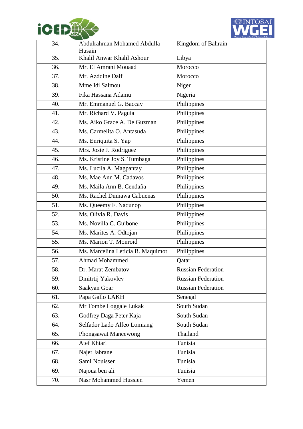



| 34. | Abdulrahman Mohamed Abdulla<br>Husain | Kingdom of Bahrain        |
|-----|---------------------------------------|---------------------------|
| 35. | Khalil Anwar Khalil Ashour            | Libya                     |
| 36. | Mr. El Amrani Mouaad                  | Morocco                   |
| 37. | Mr. Azddine Daif                      | Morocco                   |
| 38. | Mme Idi Salmou.                       | Niger                     |
| 39. | Fika Hassana Adamu                    | Nigeria                   |
| 40. | Mr. Emmanuel G. Baccay                | Philippines               |
| 41. | Mr. Richard V. Paguia                 | Philippines               |
| 42. | Ms. Aiko Grace A. De Guzman           | Philippines               |
| 43. | Ms. Carmelita O. Antasuda             | Philippines               |
| 44. | Ms. Enriquita S. Yap                  | Philippines               |
| 45. | Mrs. Josie J. Rodriguez               | Philippines               |
| 46. | Ms. Kristine Joy S. Tumbaga           | Philippines               |
| 47. | Ms. Lucila A. Magpantay               | Philippines               |
| 48. | Ms. Mae Ann M. Cadavos                | Philippines               |
| 49. | Ms. Maila Ann B. Cendaña              | Philippines               |
| 50. | Ms. Rachel Dumawa Cabuenas            | Philippines               |
| 51. | Ms. Queemy F. Nadunop                 | Philippines               |
| 52. | Ms. Olivia R. Davis                   | Philippines               |
| 53. | Ms. Novilla C. Guibone                | Philippines               |
| 54. | Ms. Marites A. Odtojan                | Philippines               |
| 55. | Ms. Marion T. Monroid                 | Philippines               |
| 56. | Ms. Marcelina Leticia B. Maquimot     | Philippines               |
| 57. | Ahmad Mohammed                        | Qatar                     |
| 58. | Dr. Marat Zembatov                    | <b>Russian Federation</b> |
| 59. | Dmitrtij Yakovlev                     | <b>Russian Federation</b> |
| 60. | Saakyan Goar                          | Russian Federation        |
| 61. | Papa Gallo LAKH                       | Senegal                   |
| 62. | Mr Tombe Loggale Lukak                | South Sudan               |
| 63. | Godfrey Daga Peter Kaja               | South Sudan               |
| 64. | Selfador Lado Alfeo Lomiang           | South Sudan               |
| 65. | Phongsawat Maneewong                  | Thailand                  |
| 66. | Atef Khiari                           | Tunisia                   |
| 67. | Najet Jabrane                         | Tunisia                   |
| 68. | Sami Nouisser                         | Tunisia                   |
| 69. | Najoua ben ali                        | Tunisia                   |
| 70. | <b>Nasr Mohammed Hussien</b>          | Yemen                     |